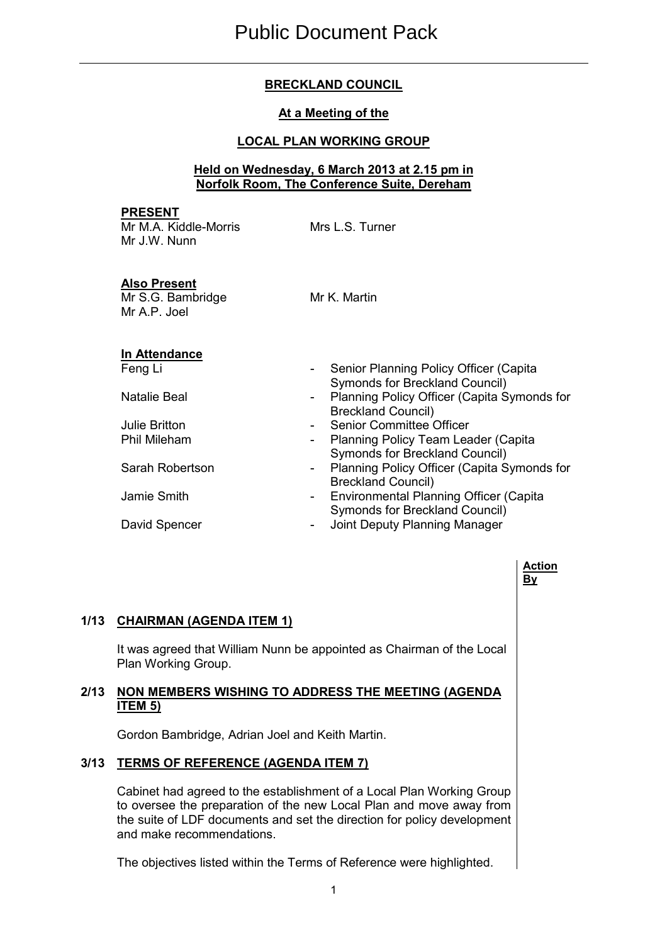# **BRECKLAND COUNCIL**

### **At a Meeting of the**

### **LOCAL PLAN WORKING GROUP**

#### **Held on Wednesday, 6 March 2013 at 2.15 pm in Norfolk Room, The Conference Suite, Dereham**

#### **PRESENT**

Mr M.A. Kiddle-Morris Mr J.W. Nunn

Mrs L.S. Turner

### **Also Present**

Mr S.G. Bambridge Mr A.P. Joel

Mr K. Martin

# **In Attendance**

- Feng Li **Francisch Communist Communist Communist Communist Communist Communist Communist Communist Communist Communist Communist Communist Communist Communist Communist Communist Communist Communist Communist Communist Com** Symonds for Breckland Council)
- Natalie Beal **Natallie Beal** Planning Policy Officer (Capita Symonds for Breckland Council)
- Julie Britton  **Senior Committee Officer**<br>
Phil Mileham  **Planning Policy Team Lea** 
	- Planning Policy Team Leader (Capita Symonds for Breckland Council)
- Sarah Robertson  **Planning Policy Officer (Capita Symonds for** Breckland Council)
- Jamie Smith **Internal Planning Officer (Capita** Environmental Planning Officer (Capita Symonds for Breckland Council)
- David Spencer  **Alternative Country Planning Manager**

### **Action By**

# **1/13 CHAIRMAN (AGENDA ITEM 1)**

 It was agreed that William Nunn be appointed as Chairman of the Local Plan Working Group.

# **2/13 NON MEMBERS WISHING TO ADDRESS THE MEETING (AGENDA ITEM 5)**

Gordon Bambridge, Adrian Joel and Keith Martin.

# **3/13 TERMS OF REFERENCE (AGENDA ITEM 7)**

 Cabinet had agreed to the establishment of a Local Plan Working Group to oversee the preparation of the new Local Plan and move away from the suite of LDF documents and set the direction for policy development and make recommendations.

The objectives listed within the Terms of Reference were highlighted.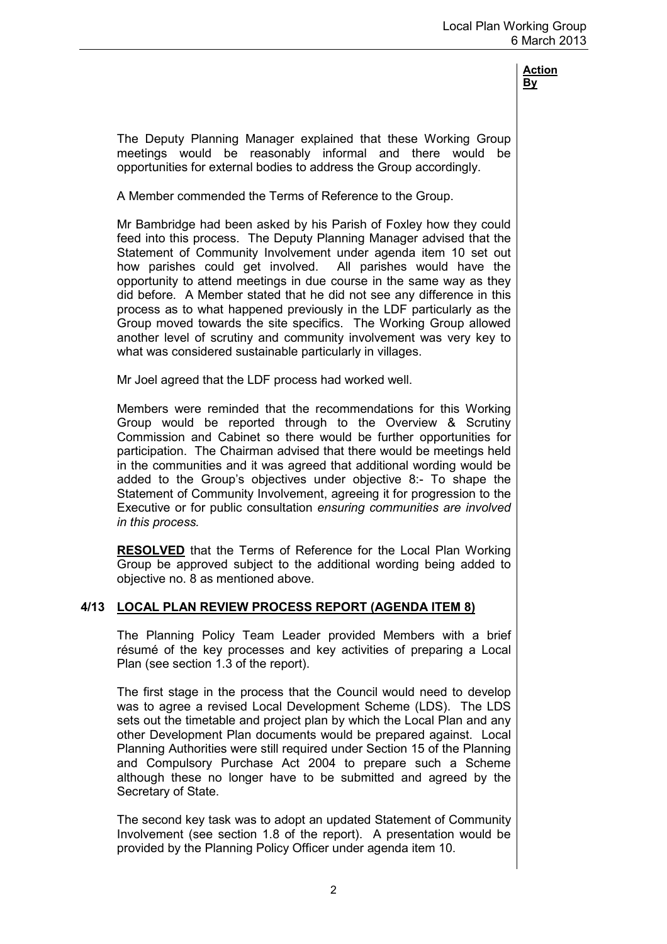The Deputy Planning Manager explained that these Working Group meetings would be reasonably informal and there would be opportunities for external bodies to address the Group accordingly.

A Member commended the Terms of Reference to the Group.

Mr Bambridge had been asked by his Parish of Foxley how they could feed into this process. The Deputy Planning Manager advised that the Statement of Community Involvement under agenda item 10 set out how parishes could get involved. All parishes would have the opportunity to attend meetings in due course in the same way as they did before. A Member stated that he did not see any difference in this process as to what happened previously in the LDF particularly as the Group moved towards the site specifics. The Working Group allowed another level of scrutiny and community involvement was very key to what was considered sustainable particularly in villages.

Mr Joel agreed that the LDF process had worked well.

Members were reminded that the recommendations for this Working Group would be reported through to the Overview & Scrutiny Commission and Cabinet so there would be further opportunities for participation. The Chairman advised that there would be meetings held in the communities and it was agreed that additional wording would be added to the Group's objectives under objective 8:- To shape the Statement of Community Involvement, agreeing it for progression to the Executive or for public consultation *ensuring communities are involved in this process.* 

**RESOLVED** that the Terms of Reference for the Local Plan Working Group be approved subject to the additional wording being added to objective no. 8 as mentioned above.

### **4/13 LOCAL PLAN REVIEW PROCESS REPORT (AGENDA ITEM 8)**

 The Planning Policy Team Leader provided Members with a brief résumé of the key processes and key activities of preparing a Local Plan (see section 1.3 of the report).

The first stage in the process that the Council would need to develop was to agree a revised Local Development Scheme (LDS). The LDS sets out the timetable and project plan by which the Local Plan and any other Development Plan documents would be prepared against. Local Planning Authorities were still required under Section 15 of the Planning and Compulsory Purchase Act 2004 to prepare such a Scheme although these no longer have to be submitted and agreed by the Secretary of State.

The second key task was to adopt an updated Statement of Community Involvement (see section 1.8 of the report). A presentation would be provided by the Planning Policy Officer under agenda item 10.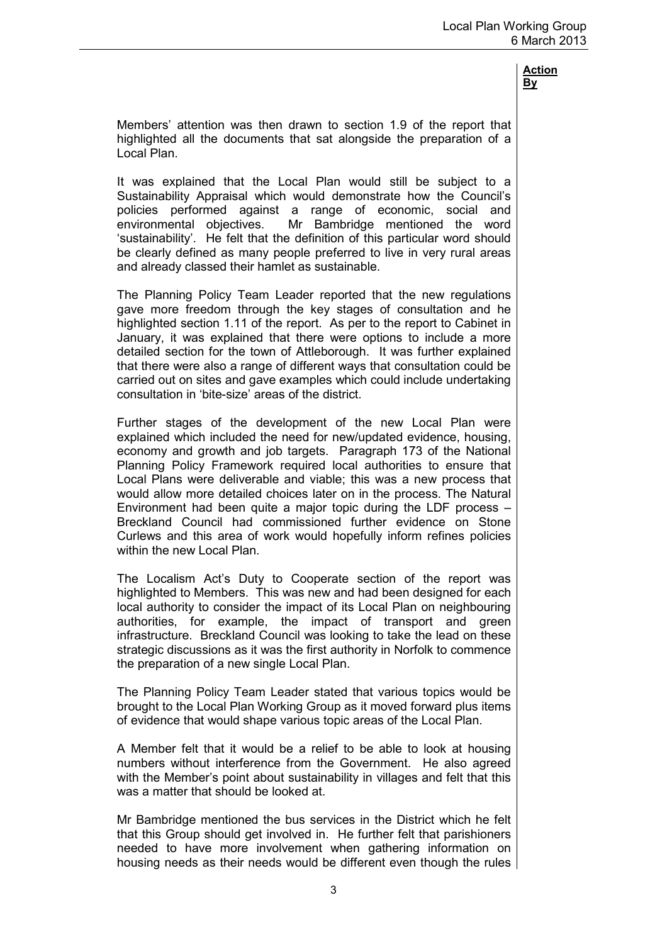Members' attention was then drawn to section 1.9 of the report that highlighted all the documents that sat alongside the preparation of a Local Plan.

It was explained that the Local Plan would still be subject to a Sustainability Appraisal which would demonstrate how the Council's policies performed against a range of economic, social and environmental objectives. Mr Bambridge mentioned the word 'sustainability'. He felt that the definition of this particular word should be clearly defined as many people preferred to live in very rural areas and already classed their hamlet as sustainable.

The Planning Policy Team Leader reported that the new regulations gave more freedom through the key stages of consultation and he highlighted section 1.11 of the report. As per to the report to Cabinet in January, it was explained that there were options to include a more detailed section for the town of Attleborough. It was further explained that there were also a range of different ways that consultation could be carried out on sites and gave examples which could include undertaking consultation in 'bite-size' areas of the district.

Further stages of the development of the new Local Plan were explained which included the need for new/updated evidence, housing, economy and growth and job targets. Paragraph 173 of the National Planning Policy Framework required local authorities to ensure that Local Plans were deliverable and viable; this was a new process that would allow more detailed choices later on in the process. The Natural Environment had been quite a major topic during the LDF process – Breckland Council had commissioned further evidence on Stone Curlews and this area of work would hopefully inform refines policies within the new Local Plan.

The Localism Act's Duty to Cooperate section of the report was highlighted to Members. This was new and had been designed for each local authority to consider the impact of its Local Plan on neighbouring authorities, for example, the impact of transport and green infrastructure. Breckland Council was looking to take the lead on these strategic discussions as it was the first authority in Norfolk to commence the preparation of a new single Local Plan.

The Planning Policy Team Leader stated that various topics would be brought to the Local Plan Working Group as it moved forward plus items of evidence that would shape various topic areas of the Local Plan.

A Member felt that it would be a relief to be able to look at housing numbers without interference from the Government. He also agreed with the Member's point about sustainability in villages and felt that this was a matter that should be looked at.

Mr Bambridge mentioned the bus services in the District which he felt that this Group should get involved in. He further felt that parishioners needed to have more involvement when gathering information on housing needs as their needs would be different even though the rules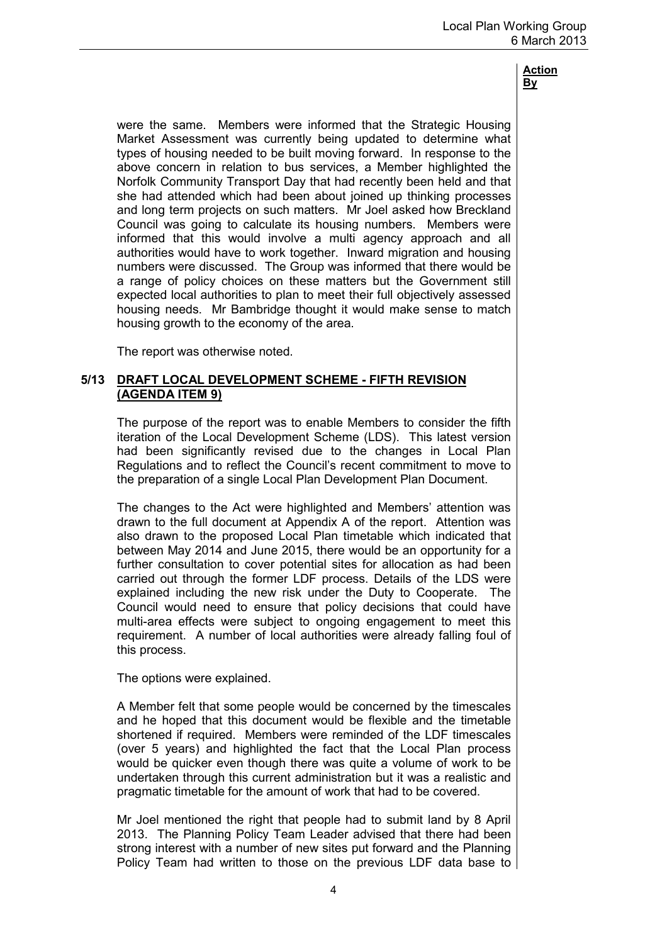were the same. Members were informed that the Strategic Housing Market Assessment was currently being updated to determine what types of housing needed to be built moving forward. In response to the above concern in relation to bus services, a Member highlighted the Norfolk Community Transport Day that had recently been held and that she had attended which had been about joined up thinking processes and long term projects on such matters. Mr Joel asked how Breckland Council was going to calculate its housing numbers. Members were informed that this would involve a multi agency approach and all authorities would have to work together. Inward migration and housing numbers were discussed. The Group was informed that there would be a range of policy choices on these matters but the Government still expected local authorities to plan to meet their full objectively assessed housing needs. Mr Bambridge thought it would make sense to match housing growth to the economy of the area.

The report was otherwise noted.

### **5/13 DRAFT LOCAL DEVELOPMENT SCHEME - FIFTH REVISION (AGENDA ITEM 9)**

 The purpose of the report was to enable Members to consider the fifth iteration of the Local Development Scheme (LDS). This latest version had been significantly revised due to the changes in Local Plan Regulations and to reflect the Council's recent commitment to move to the preparation of a single Local Plan Development Plan Document.

The changes to the Act were highlighted and Members' attention was drawn to the full document at Appendix A of the report. Attention was also drawn to the proposed Local Plan timetable which indicated that between May 2014 and June 2015, there would be an opportunity for a further consultation to cover potential sites for allocation as had been carried out through the former LDF process. Details of the LDS were explained including the new risk under the Duty to Cooperate. The Council would need to ensure that policy decisions that could have multi-area effects were subject to ongoing engagement to meet this requirement. A number of local authorities were already falling foul of this process.

The options were explained.

A Member felt that some people would be concerned by the timescales and he hoped that this document would be flexible and the timetable shortened if required. Members were reminded of the LDF timescales (over 5 years) and highlighted the fact that the Local Plan process would be quicker even though there was quite a volume of work to be undertaken through this current administration but it was a realistic and pragmatic timetable for the amount of work that had to be covered.

Mr Joel mentioned the right that people had to submit land by 8 April 2013. The Planning Policy Team Leader advised that there had been strong interest with a number of new sites put forward and the Planning Policy Team had written to those on the previous LDF data base to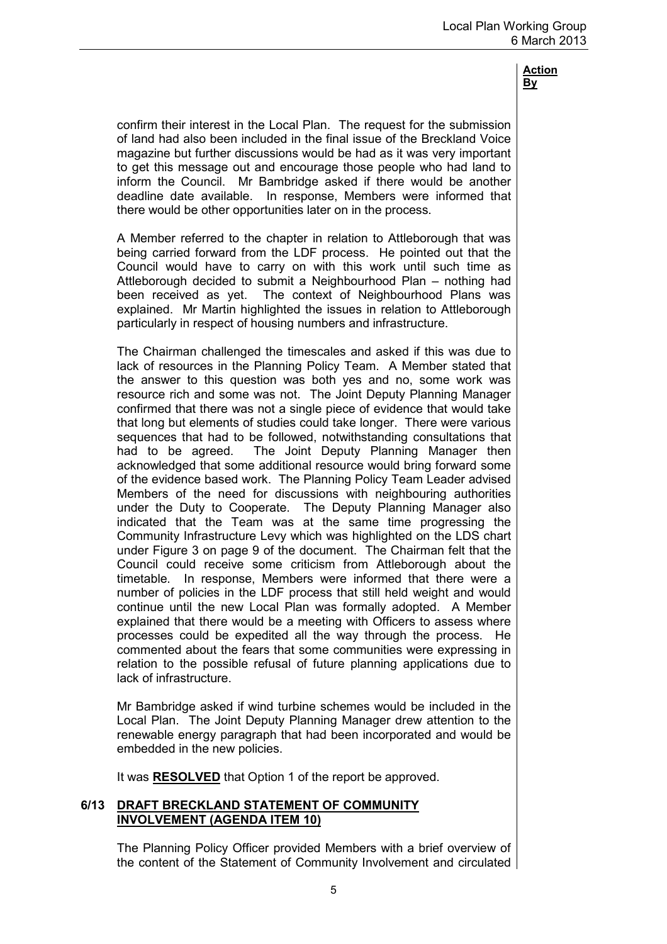confirm their interest in the Local Plan. The request for the submission of land had also been included in the final issue of the Breckland Voice magazine but further discussions would be had as it was very important to get this message out and encourage those people who had land to inform the Council. Mr Bambridge asked if there would be another deadline date available. In response, Members were informed that there would be other opportunities later on in the process.

A Member referred to the chapter in relation to Attleborough that was being carried forward from the LDF process. He pointed out that the Council would have to carry on with this work until such time as Attleborough decided to submit a Neighbourhood Plan – nothing had been received as yet. The context of Neighbourhood Plans was explained. Mr Martin highlighted the issues in relation to Attleborough particularly in respect of housing numbers and infrastructure.

The Chairman challenged the timescales and asked if this was due to lack of resources in the Planning Policy Team. A Member stated that the answer to this question was both yes and no, some work was resource rich and some was not. The Joint Deputy Planning Manager confirmed that there was not a single piece of evidence that would take that long but elements of studies could take longer. There were various sequences that had to be followed, notwithstanding consultations that had to be agreed. The Joint Deputy Planning Manager then acknowledged that some additional resource would bring forward some of the evidence based work. The Planning Policy Team Leader advised Members of the need for discussions with neighbouring authorities under the Duty to Cooperate. The Deputy Planning Manager also indicated that the Team was at the same time progressing the Community Infrastructure Levy which was highlighted on the LDS chart under Figure 3 on page 9 of the document. The Chairman felt that the Council could receive some criticism from Attleborough about the timetable. In response, Members were informed that there were a number of policies in the LDF process that still held weight and would continue until the new Local Plan was formally adopted. A Member explained that there would be a meeting with Officers to assess where processes could be expedited all the way through the process. He commented about the fears that some communities were expressing in relation to the possible refusal of future planning applications due to lack of infrastructure.

Mr Bambridge asked if wind turbine schemes would be included in the Local Plan. The Joint Deputy Planning Manager drew attention to the renewable energy paragraph that had been incorporated and would be embedded in the new policies.

It was **RESOLVED** that Option 1 of the report be approved.

#### **6/13 DRAFT BRECKLAND STATEMENT OF COMMUNITY INVOLVEMENT (AGENDA ITEM 10)**

 The Planning Policy Officer provided Members with a brief overview of the content of the Statement of Community Involvement and circulated